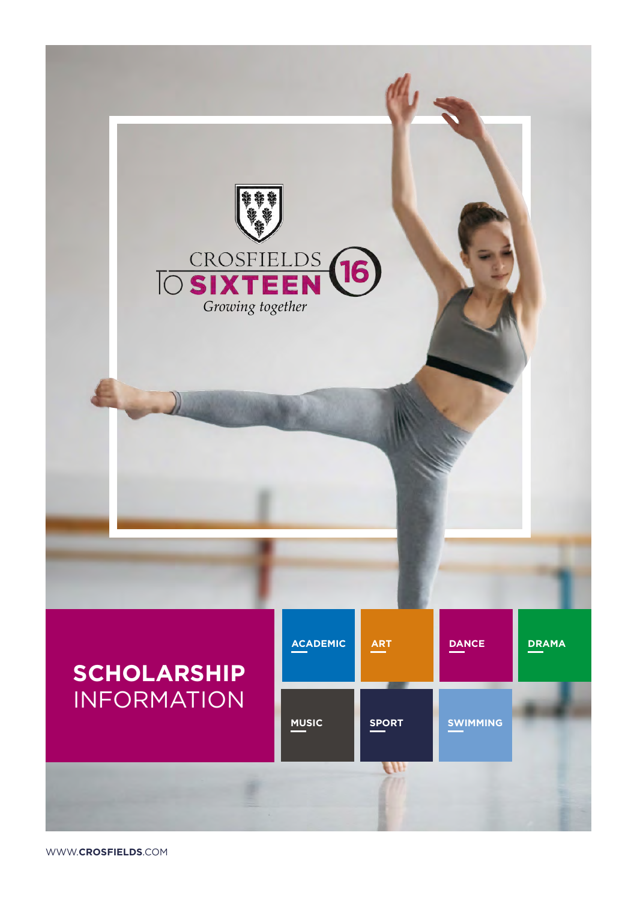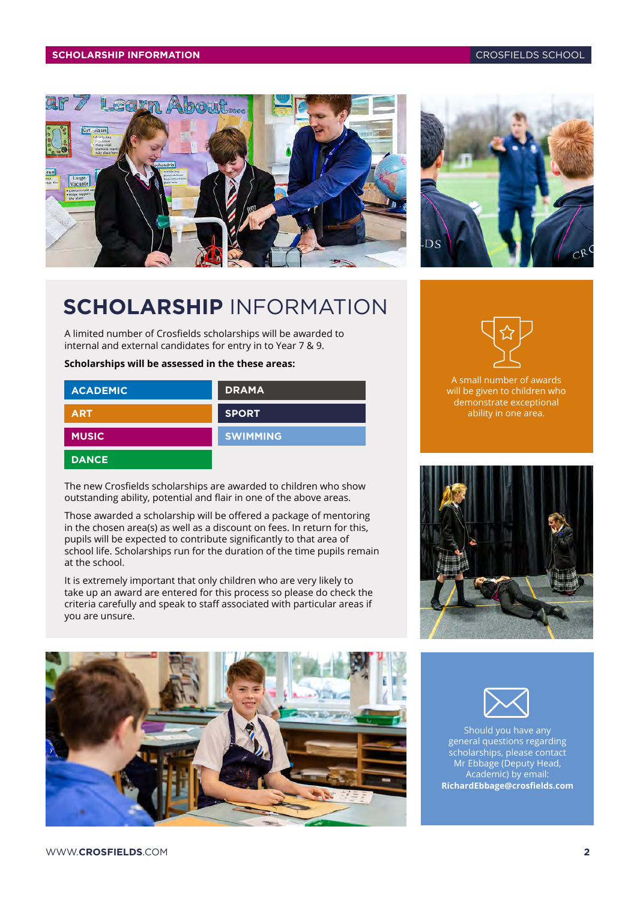#### **SCHOLARSHIP INFORMATION** CROSFIELDS SCHOOL



# **SCHOLARSHIP** INFORMATION

A limited number of Crosfields scholarships will be awarded to internal and external candidates for entry in to Year 7 & 9.

#### **Scholarships will be assessed in the these areas:**

| <b>ACADEMIC</b> | <b>DRAMA</b>    |
|-----------------|-----------------|
| <b>ART</b>      | <b>SPORT</b>    |
| <b>MUSIC</b>    | <b>SWIMMING</b> |
| <b>DANCE</b>    |                 |

The new Crosfields scholarships are awarded to children who show outstanding ability, potential and flair in one of the above areas.

Those awarded a scholarship will be offered a package of mentoring in the chosen area(s) as well as a discount on fees. In return for this, pupils will be expected to contribute significantly to that area of school life. Scholarships run for the duration of the time pupils remain at the school.

It is extremely important that only children who are very likely to take up an award are entered for this process so please do check the criteria carefully and speak to staff associated with particular areas if you are unsure.







A small number of awards will be given to children who demonstrate exceptional ability in one area.



Should you have any general questions regarding scholarships, please contact Mr Ebbage (Deputy Head, Academic) by email: **[RichardEbbage@crosfields.com](mailto:RichardEbbage%40crosfields.com?subject=Scholarships%20inquiry)**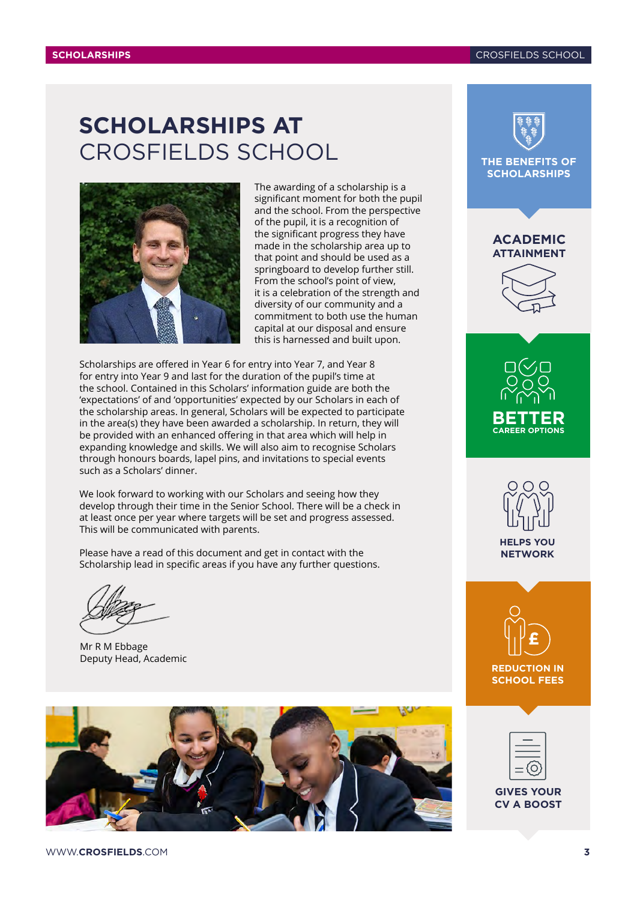## **SCHOLARSHIPS AT** CROSFIELDS SCHOOL



The awarding of a scholarship is a significant moment for both the pupil and the school. From the perspective of the pupil, it is a recognition of the significant progress they have made in the scholarship area up to that point and should be used as a springboard to develop further still. From the school's point of view, it is a celebration of the strength and diversity of our community and a commitment to both use the human capital at our disposal and ensure this is harnessed and built upon.

Scholarships are offered in Year 6 for entry into Year 7, and Year 8 for entry into Year 9 and last for the duration of the pupil's time at the school. Contained in this Scholars' information guide are both the 'expectations' of and 'opportunities' expected by our Scholars in each of the scholarship areas. In general, Scholars will be expected to participate in the area(s) they have been awarded a scholarship. In return, they will be provided with an enhanced offering in that area which will help in expanding knowledge and skills. We will also aim to recognise Scholars through honours boards, lapel pins, and invitations to special events such as a Scholars' dinner.

We look forward to working with our Scholars and seeing how they develop through their time in the Senior School. There will be a check in at least once per year where targets will be set and progress assessed. This will be communicated with parents.

Please have a read of this document and get in contact with the Scholarship lead in specific areas if you have any further questions.

Mr R M Ebbage Deputy Head, Academic





#### **ACADEMIC ATTAINMENT**









**REDUCTION IN SCHOOL FEES**

**GIVES YOUR CV A BOOST**

WWW.**CROSFIELDS**.COM **3**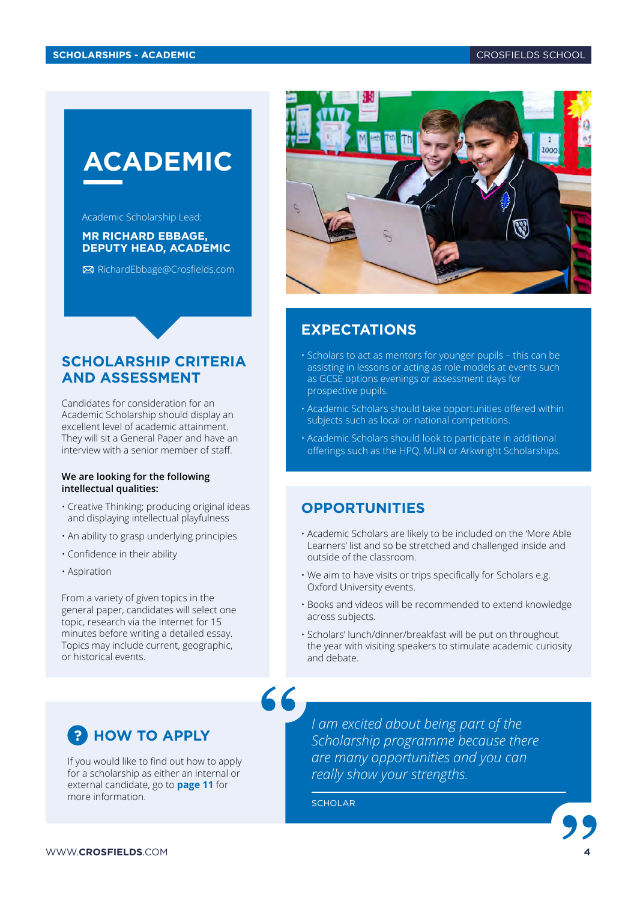# <span id="page-3-0"></span>**ACADEMIC**

Academic Scholarship Lead:

#### **MR RICHARD EBBAGE, DEPUTY HEAD, ACADEMIC**

[RichardEbbage@Crosfields.com](mailto:RichardEbbage%40Crosfields.com?subject=Academic%20scholarships)

#### **SCHOLARSHIP CRITERIA AND ASSESSMENT**

Candidates for consideration for an Academic Scholarship should display an excellent level of academic attainment. They will sit a General Paper and have an interview with a senior member of staff.

#### **We are looking for the following intellectual qualities:**

- Creative Thinking; producing original ideas and displaying intellectual playfulness
- An ability to grasp underlying principles
- Confidence in their ability
- Aspiration

From a variety of given topics in the general paper, candidates will select one topic, research via the Internet for 15 minutes before writing a detailed essay. Topics may include current, geographic, or historical events.

### **P** HOW TO APPLY

If you would like to find out how to apply for a scholarship as either an internal or external candidate, go to **[page 11](#page-10-0)** for more information.

*I am excited about being part of the Scholarship programme because there are many opportunities and you can really show your strengths.*

SCHOLAR



#### **EXPECTATIONS**

- Scholars to act as mentors for younger pupils this can be assisting in lessons or acting as role models at events such as GCSE options evenings or assessment days for prospective pupils.
- Academic Scholars should take opportunities offered within subjects such as local or national competitions.
- Academic Scholars should look to participate in additional offerings such as the HPQ, MUN or Arkwright Scholarships.

#### **OPPORTUNITIES**

- Academic Scholars are likely to be included on the 'More Able Learners' list and so be stretched and challenged inside and outside of the classroom.
- We aim to have visits or trips specifically for Scholars e.g. Oxford University events.
- Books and videos will be recommended to extend knowledge across subjects.
- Scholars' lunch/dinner/breakfast will be put on throughout the year with visiting speakers to stimulate academic curiosity and debate.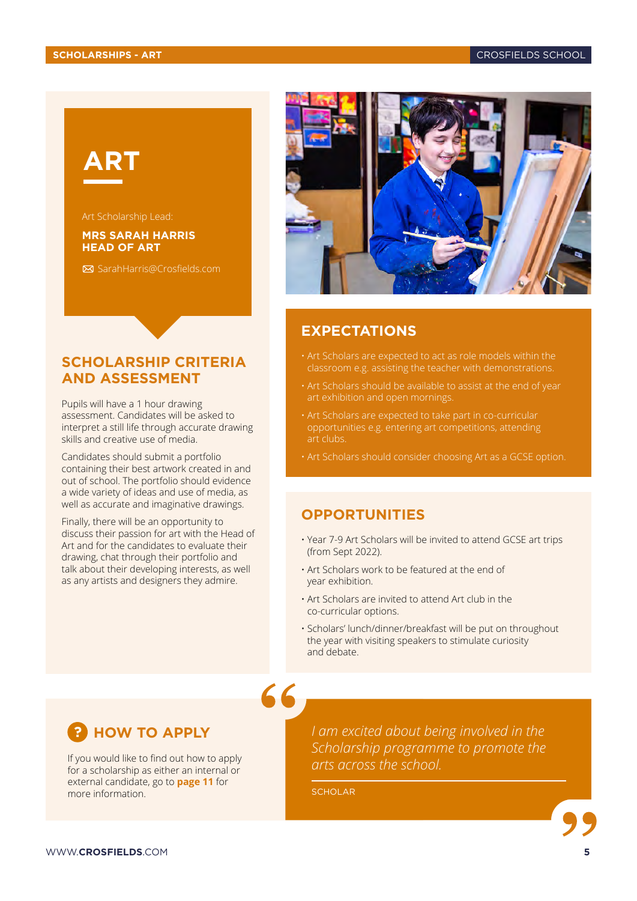# <span id="page-4-0"></span>**ART**

#### **MRS SARAH HARRIS HEAD OF ART**

[SarahHarris@Crosfields.com](mailto:SarahHarris%40Crosfields.com?subject=Art%20scholarships)

#### **SCHOLARSHIP CRITERIA AND ASSESSMENT**

Pupils will have a 1 hour drawing assessment. Candidates will be asked to interpret a still life through accurate drawing skills and creative use of media.

Candidates should submit a portfolio containing their best artwork created in and out of school. The portfolio should evidence a wide variety of ideas and use of media, as well as accurate and imaginative drawings.

Finally, there will be an opportunity to discuss their passion for art with the Head of Art and for the candidates to evaluate their drawing, chat through their portfolio and talk about their developing interests, as well as any artists and designers they admire.



#### **EXPECTATIONS**

- Art Scholars are expected to act as role models within the
- art exhibition and open mornings.
- Art Scholars are expected to take part in co-curricular opportunities e.g. entering art competitions, attending art clubs.
- Art Scholars should consider choosing Art as a GCSE option.

#### **OPPORTUNITIES**

- Year 7-9 Art Scholars will be invited to attend GCSE art trips (from Sept 2022).
- Art Scholars work to be featured at the end of year exhibition.
- Art Scholars are invited to attend Art club in the co-curricular options.
- Scholars' lunch/dinner/breakfast will be put on throughout the year with visiting speakers to stimulate curiosity and debate.

#### **HOW TO APPLY ?**

If you would like to find out how to apply for a scholarship as either an internal or external candidate, go to **[page 11](#page-10-0)** for more information.

*I am excited about being involved in the Scholarship programme to promote the arts across the school.*

**SCHOLAR**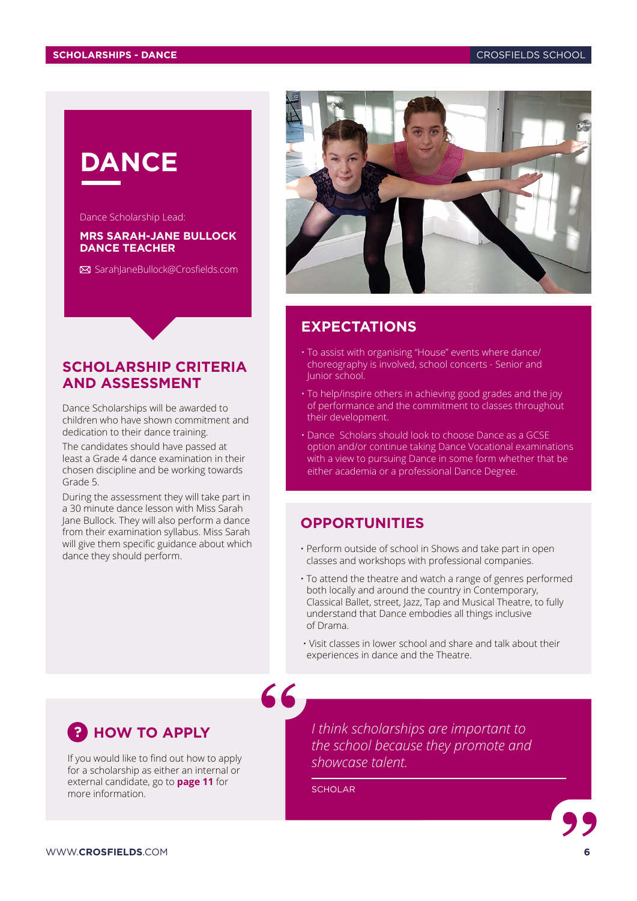# <span id="page-5-0"></span>**DANCE**

Dance Scholarship Lead:

#### **MRS SARAH-JANE BULLOCK DANCE TEACHER**

[SarahJaneBullock@Crosfields.com](mailto:SarahJaneBullock%40Crosfields.com?subject=Dance%20scholarships)

#### **SCHOLARSHIP CRITERIA AND ASSESSMENT**

Dance Scholarships will be awarded to children who have shown commitment and dedication to their dance training.

The candidates should have passed at least a Grade 4 dance examination in their chosen discipline and be working towards Grade 5.

During the assessment they will take part in a 30 minute dance lesson with Miss Sarah Jane Bullock. They will also perform a dance from their examination syllabus. Miss Sarah will give them specific guidance about which dance they should perform.



#### **EXPECTATIONS**

- To assist with organising "House" events where dance/ choreography is involved, school concerts - Senior and Junior school.
- To help/inspire others in achieving good grades and the joy of performance and the commitment to classes throughout their development.
- Dance Scholars should look to choose Dance as a GCSE option and/or continue taking Dance Vocational examinations with a view to pursuing Dance in some form whether that be either academia or a professional Dance Degree.

#### **OPPORTUNITIES**

- Perform outside of school in Shows and take part in open classes and workshops with professional companies.
- To attend the theatre and watch a range of genres performed both locally and around the country in Contemporary, Classical Ballet, street, Jazz, Tap and Musical Theatre, to fully understand that Dance embodies all things inclusive of Drama.
- Visit classes in lower school and share and talk about their experiences in dance and the Theatre.



If you would like to find out how to apply for a scholarship as either an internal or external candidate, go to **[page 11](#page-10-0)** for more information.

*I think scholarships are important to the school because they promote and showcase talent.*

**SCHOLAR**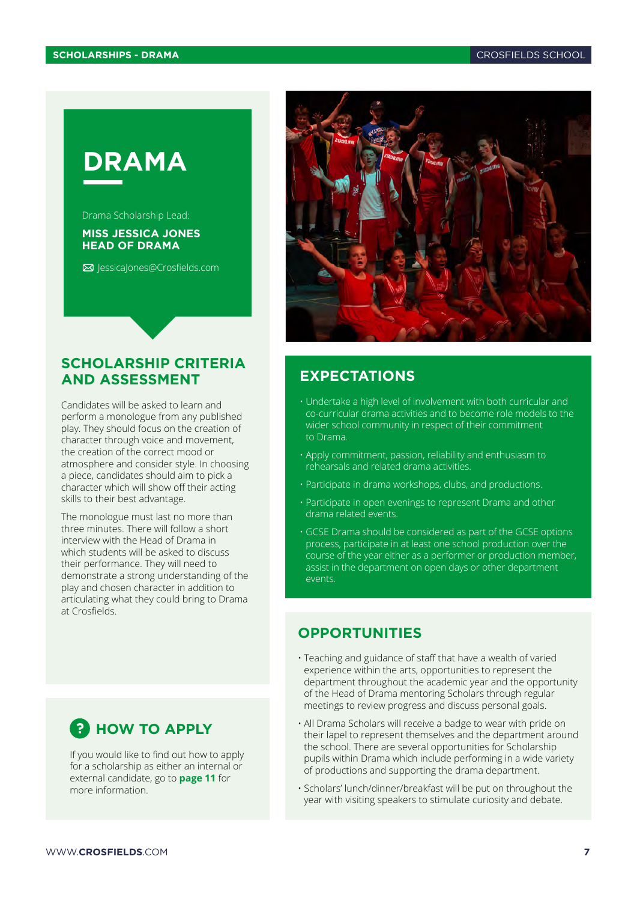<span id="page-6-0"></span>

Drama Scholarship Lead:

#### **MISS JESSICA JONES HEAD OF DRAMA**

[JessicaJones@Crosfields.com](mailto:JessicaJones%40Crosfields.com?subject=Drama%20scholarships)



#### **SCHOLARSHIP CRITERIA AND ASSESSMENT**

Candidates will be asked to learn and perform a monologue from any published play. They should focus on the creation of character through voice and movement, the creation of the correct mood or atmosphere and consider style. In choosing a piece, candidates should aim to pick a character which will show off their acting skills to their best advantage.

The monologue must last no more than three minutes. There will follow a short interview with the Head of Drama in which students will be asked to discuss their performance. They will need to demonstrate a strong understanding of the play and chosen character in addition to articulating what they could bring to Drama at Crosfields.

### **?** HOW TO APPLY

If you would like to find out how to apply for a scholarship as either an internal or external candidate, go to **[page 11](#page-10-0)** for more information.

#### **EXPECTATIONS**

- Undertake a high level of involvement with both curricular and co-curricular drama activities and to become role models to the wider school community in respect of their commitment to Drama.
- Apply commitment, passion, reliability and enthusiasm to rehearsals and related drama activities.
- Participate in drama workshops, clubs, and productions.
- Participate in open evenings to represent Drama and other drama related events.
- GCSE Drama should be considered as part of the GCSE options process, participate in at least one school production over the course of the year either as a performer or production member, assist in the department on open days or other department events.

#### **OPPORTUNITIES**

- Teaching and guidance of staff that have a wealth of varied experience within the arts, opportunities to represent the department throughout the academic year and the opportunity of the Head of Drama mentoring Scholars through regular meetings to review progress and discuss personal goals.
- All Drama Scholars will receive a badge to wear with pride on their lapel to represent themselves and the department around the school. There are several opportunities for Scholarship pupils within Drama which include performing in a wide variety of productions and supporting the drama department.
- Scholars' lunch/dinner/breakfast will be put on throughout the year with visiting speakers to stimulate curiosity and debate.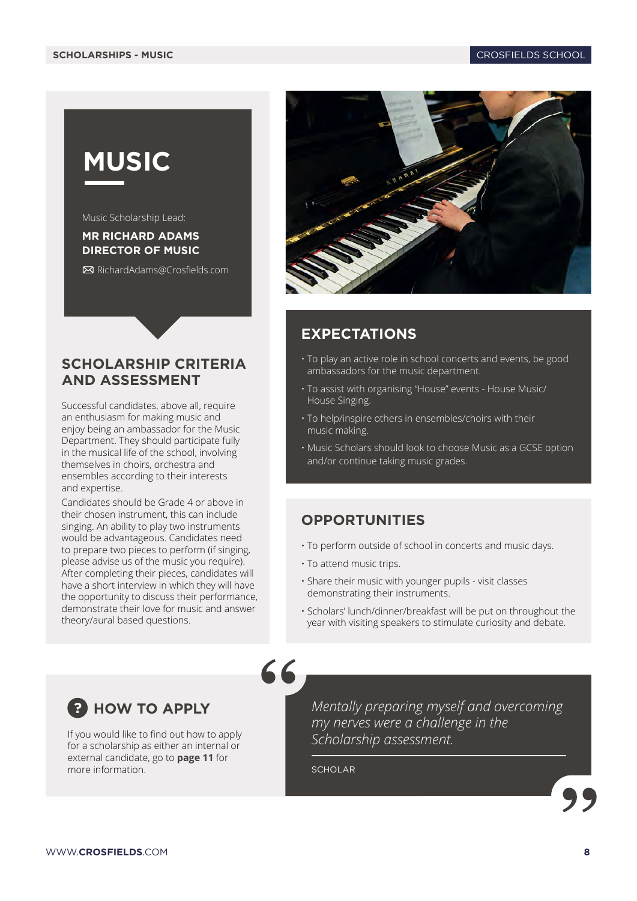# <span id="page-7-0"></span>**MUSIC**

Music Scholarship Lead:

#### **MR RICHARD ADAMS DIRECTOR OF MUSIC**

[RichardAdams@Crosfields.com](mailto:RichardAdams%40Crosfields.com?subject=Music%20scholarships)

#### **SCHOLARSHIP CRITERIA AND ASSESSMENT**

Successful candidates, above all, require an enthusiasm for making music and enjoy being an ambassador for the Music Department. They should participate fully in the musical life of the school, involving themselves in choirs, orchestra and ensembles according to their interests and expertise.

Candidates should be Grade 4 or above in their chosen instrument, this can include singing. An ability to play two instruments would be advantageous. Candidates need to prepare two pieces to perform (if singing, please advise us of the music you require). After completing their pieces, candidates will have a short interview in which they will have the opportunity to discuss their performance, demonstrate their love for music and answer theory/aural based questions.



#### **EXPECTATIONS**

- To play an active role in school concerts and events, be good ambassadors for the music department.
- To assist with organising "House" events House Music/ House Singing.
- To help/inspire others in ensembles/choirs with their music making.
- Music Scholars should look to choose Music as a GCSE option and/or continue taking music grades.

#### **OPPORTUNITIES**

- To perform outside of school in concerts and music days.
- To attend music trips.
- Share their music with younger pupils visit classes demonstrating their instruments.
- Scholars' lunch/dinner/breakfast will be put on throughout the year with visiting speakers to stimulate curiosity and debate.



If you would like to find out how to apply for a scholarship as either an internal or external candidate, go to **[page 11](#page-10-0)** for more information.

*Mentally preparing myself and overcoming my nerves were a challenge in the Scholarship assessment.*

**SCHOLAR** 

66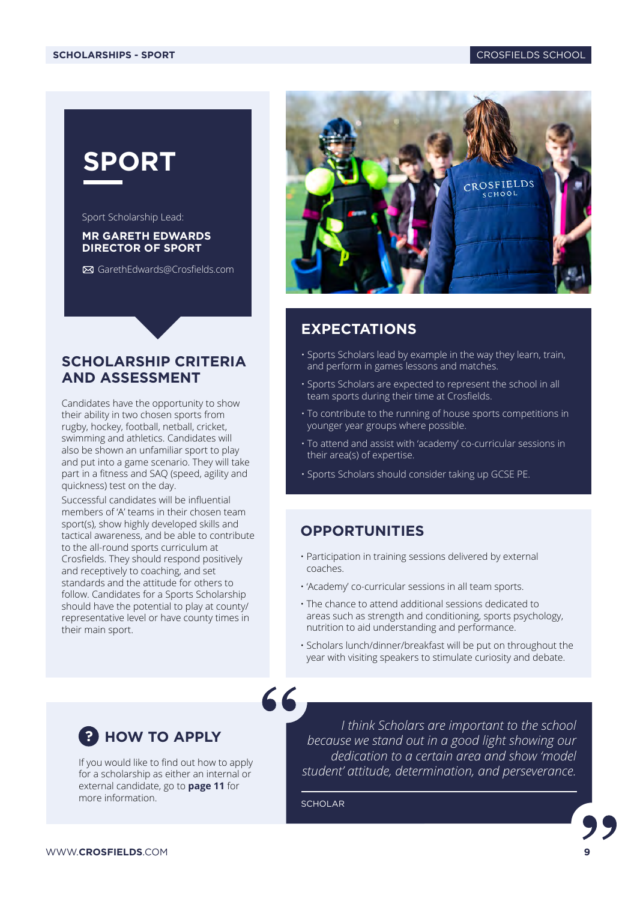<span id="page-8-0"></span>

Sport Scholarship Lead:

#### **MR GARETH EDWARDS DIRECTOR OF SPORT**

[GarethEdwards@Crosfields.com](mailto:GarethEdwards%40Crosfields.com?subject=Sport%20scholarships)

#### **SCHOLARSHIP CRITERIA AND ASSESSMENT**

Candidates have the opportunity to show their ability in two chosen sports from rugby, hockey, football, netball, cricket, swimming and athletics. Candidates will also be shown an unfamiliar sport to play and put into a game scenario. They will take part in a fitness and SAQ (speed, agility and quickness) test on the day.

Successful candidates will be influential members of 'A' teams in their chosen team sport(s), show highly developed skills and tactical awareness, and be able to contribute to the all-round sports curriculum at Crosfields. They should respond positively and receptively to coaching, and set standards and the attitude for others to follow. Candidates for a Sports Scholarship should have the potential to play at county/ representative level or have county times in their main sport.



#### **EXPECTATIONS**

- Sports Scholars lead by example in the way they learn, train, and perform in games lessons and matches.
- Sports Scholars are expected to represent the school in all team sports during their time at Crosfields.
- To contribute to the running of house sports competitions in younger year groups where possible.
- To attend and assist with 'academy' co-curricular sessions in their area(s) of expertise.
- Sports Scholars should consider taking up GCSE PE.

#### **OPPORTUNITIES**

- Participation in training sessions delivered by external coaches.
- 'Academy' co-curricular sessions in all team sports.
- The chance to attend additional sessions dedicated to areas such as strength and conditioning, sports psychology, nutrition to aid understanding and performance.
- Scholars lunch/dinner/breakfast will be put on throughout the year with visiting speakers to stimulate curiosity and debate.



WWW.**CROSFIELDS**.COM **9**

If you would like to find out how to apply for a scholarship as either an internal or external candidate, go to **[page 11](#page-10-0)** for more information.

*I think Scholars are important to the school because we stand out in a good light showing our dedication to a certain area and show 'model student' attitude, determination, and perseverance.*

**SCHOLAR** 

 $66$ 

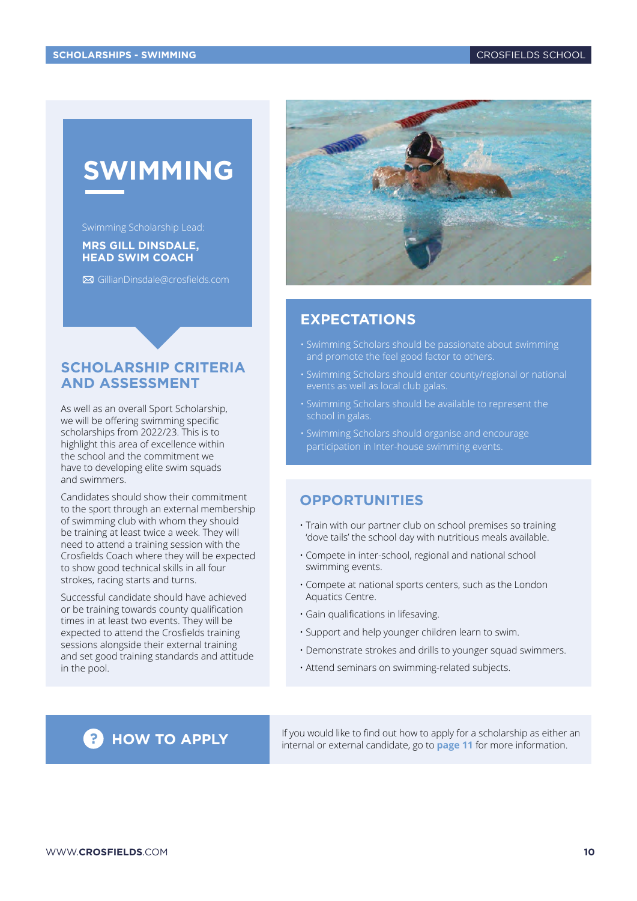# <span id="page-9-0"></span>**SWIMMING**

#### **MRS GILL DINSDALE, HEAD SWIM COACH**

[GillianDinsdale@crosfields.com](mailto:GillianDinsdale%40crosfields.com?subject=Swimming%20scholarships)

#### **SCHOLARSHIP CRITERIA AND ASSESSMENT**

As well as an overall Sport Scholarship, we will be offering swimming specific scholarships from 2022/23. This is to highlight this area of excellence within the school and the commitment we have to developing elite swim squads and swimmers.

Candidates should show their commitment to the sport through an external membership of swimming club with whom they should be training at least twice a week. They will need to attend a training session with the Crosfields Coach where they will be expected to show good technical skills in all four strokes, racing starts and turns.

Successful candidate should have achieved or be training towards county qualification times in at least two events. They will be expected to attend the Crosfields training sessions alongside their external training and set good training standards and attitude in the pool.



#### **EXPECTATIONS**

- Swimming Scholars should be passionate about swimming and promote the feel good factor to others.
- Swimming Scholars should enter county/regional or national events as well as local club galas.
- Swimming Scholars should be available to represent the school in galas.
- Swimming Scholars should organise and encourage

#### **OPPORTUNITIES**

- Train with our partner club on school premises so training 'dove tails' the school day with nutritious meals available.
- Compete in inter-school, regional and national school swimming events.
- Compete at national sports centers, such as the London Aquatics Centre.
- Gain qualifications in lifesaving.
- Support and help younger children learn to swim.
- Demonstrate strokes and drills to younger squad swimmers.
- Attend seminars on swimming-related subjects.

**? HOW TO APPLY** If you would like to find out how to apply for a scholarship as either an internal or external candidate, go to **[page 11](#page-10-0)** for more information.